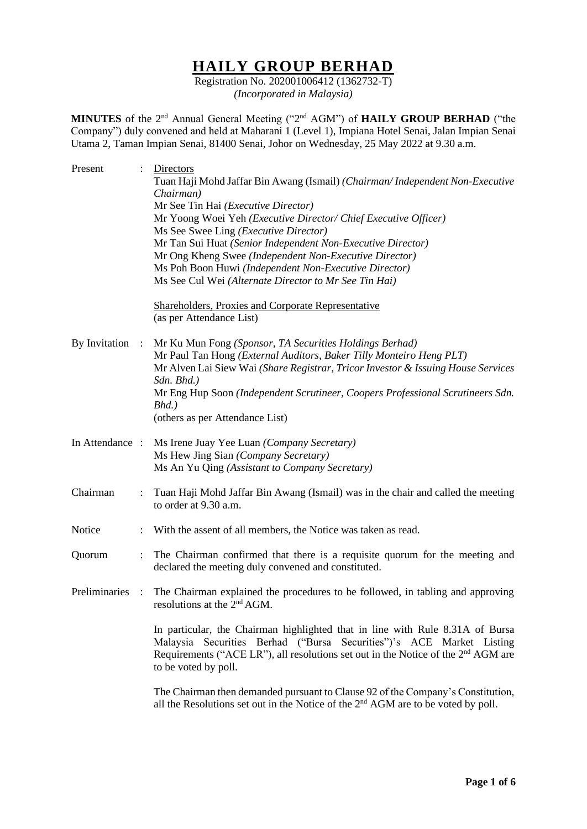# **HAILY GROUP BERHAD**

Registration No. 202001006412 (1362732-T) *(Incorporated in Malaysia)*

**MINUTES** of the 2<sup>nd</sup> Annual General Meeting ("2<sup>nd</sup> AGM") of **HAILY GROUP BERHAD** ("the Company") duly convened and held at Maharani 1 (Level 1), Impiana Hotel Senai, Jalan Impian Senai Utama 2, Taman Impian Senai, 81400 Senai, Johor on Wednesday, 25 May 2022 at 9.30 a.m.

| Present         |                    | Directors<br>Tuan Haji Mohd Jaffar Bin Awang (Ismail) (Chairman/Independent Non-Executive<br>Chairman)<br>Mr See Tin Hai (Executive Director)<br>Mr Yoong Woei Yeh (Executive Director/ Chief Executive Officer)<br>Ms See Swee Ling ( <i>Executive Director</i> )<br>Mr Tan Sui Huat (Senior Independent Non-Executive Director)<br>Mr Ong Kheng Swee (Independent Non-Executive Director)<br>Ms Poh Boon Huwi (Independent Non-Executive Director)<br>Ms See Cul Wei (Alternate Director to Mr See Tin Hai)<br><b>Shareholders, Proxies and Corporate Representative</b> |
|-----------------|--------------------|----------------------------------------------------------------------------------------------------------------------------------------------------------------------------------------------------------------------------------------------------------------------------------------------------------------------------------------------------------------------------------------------------------------------------------------------------------------------------------------------------------------------------------------------------------------------------|
| By Invitation   | $\ddot{\ddot{}}$ . | (as per Attendance List)<br>Mr Ku Mun Fong (Sponsor, TA Securities Holdings Berhad)<br>Mr Paul Tan Hong (External Auditors, Baker Tilly Monteiro Heng PLT)<br>Mr Alven Lai Siew Wai (Share Registrar, Tricor Investor & Issuing House Services<br>Sdn. Bhd.)<br>Mr Eng Hup Soon (Independent Scrutineer, Coopers Professional Scrutineers Sdn.<br>$Bhd.$ )<br>(others as per Attendance List)                                                                                                                                                                              |
| In Attendance : |                    | Ms Irene Juay Yee Luan (Company Secretary)<br>Ms Hew Jing Sian (Company Secretary)<br>Ms An Yu Qing (Assistant to Company Secretary)                                                                                                                                                                                                                                                                                                                                                                                                                                       |
| Chairman        |                    | Tuan Haji Mohd Jaffar Bin Awang (Ismail) was in the chair and called the meeting<br>to order at 9.30 a.m.                                                                                                                                                                                                                                                                                                                                                                                                                                                                  |
| Notice          |                    | With the assent of all members, the Notice was taken as read.                                                                                                                                                                                                                                                                                                                                                                                                                                                                                                              |
| Quorum          | ÷.                 | The Chairman confirmed that there is a requisite quorum for the meeting and<br>declared the meeting duly convened and constituted.                                                                                                                                                                                                                                                                                                                                                                                                                                         |
| Preliminaries : |                    | The Chairman explained the procedures to be followed, in tabling and approving<br>resolutions at the $2nd AGM$ .                                                                                                                                                                                                                                                                                                                                                                                                                                                           |
|                 |                    | In particular, the Chairman highlighted that in line with Rule 8.31A of Bursa<br>Malaysia Securities Berhad ("Bursa Securities")'s ACE Market Listing<br>Requirements ("ACE LR"), all resolutions set out in the Notice of the 2 <sup>nd</sup> AGM are<br>to be voted by poll.                                                                                                                                                                                                                                                                                             |
|                 |                    | The Chairman then demanded pursuant to Clause 92 of the Company's Constitution,<br>all the Resolutions set out in the Notice of the 2 <sup>nd</sup> AGM are to be voted by poll.                                                                                                                                                                                                                                                                                                                                                                                           |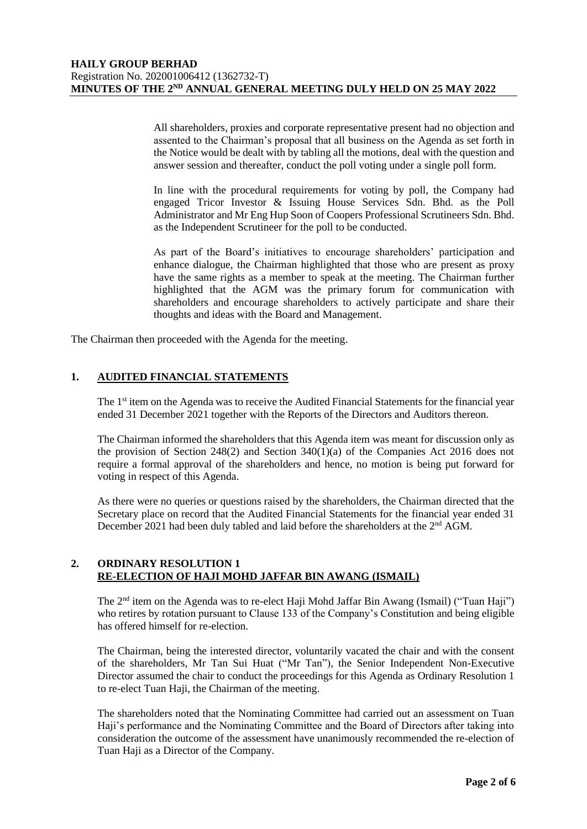All shareholders, proxies and corporate representative present had no objection and assented to the Chairman's proposal that all business on the Agenda as set forth in the Notice would be dealt with by tabling all the motions, deal with the question and answer session and thereafter, conduct the poll voting under a single poll form.

In line with the procedural requirements for voting by poll, the Company had engaged Tricor Investor & Issuing House Services Sdn. Bhd. as the Poll Administrator and Mr Eng Hup Soon of Coopers Professional Scrutineers Sdn. Bhd. as the Independent Scrutineer for the poll to be conducted.

As part of the Board's initiatives to encourage shareholders' participation and enhance dialogue, the Chairman highlighted that those who are present as proxy have the same rights as a member to speak at the meeting. The Chairman further highlighted that the AGM was the primary forum for communication with shareholders and encourage shareholders to actively participate and share their thoughts and ideas with the Board and Management.

The Chairman then proceeded with the Agenda for the meeting.

## **1. AUDITED FINANCIAL STATEMENTS**

The 1<sup>st</sup> item on the Agenda was to receive the Audited Financial Statements for the financial year ended 31 December 2021 together with the Reports of the Directors and Auditors thereon.

The Chairman informed the shareholders that this Agenda item was meant for discussion only as the provision of Section 248(2) and Section 340(1)(a) of the Companies Act 2016 does not require a formal approval of the shareholders and hence, no motion is being put forward for voting in respect of this Agenda.

As there were no queries or questions raised by the shareholders, the Chairman directed that the Secretary place on record that the Audited Financial Statements for the financial year ended 31 December 2021 had been duly tabled and laid before the shareholders at the 2<sup>nd</sup> AGM.

#### **2. ORDINARY RESOLUTION 1 RE-ELECTION OF HAJI MOHD JAFFAR BIN AWANG (ISMAIL)**

The 2<sup>nd</sup> item on the Agenda was to re-elect Haji Mohd Jaffar Bin Awang (Ismail) ("Tuan Haji") who retires by rotation pursuant to Clause 133 of the Company's Constitution and being eligible has offered himself for re-election.

The Chairman, being the interested director, voluntarily vacated the chair and with the consent of the shareholders, Mr Tan Sui Huat ("Mr Tan"), the Senior Independent Non-Executive Director assumed the chair to conduct the proceedings for this Agenda as Ordinary Resolution 1 to re-elect Tuan Haji, the Chairman of the meeting.

The shareholders noted that the Nominating Committee had carried out an assessment on Tuan Haji's performance and the Nominating Committee and the Board of Directors after taking into consideration the outcome of the assessment have unanimously recommended the re-election of Tuan Haji as a Director of the Company.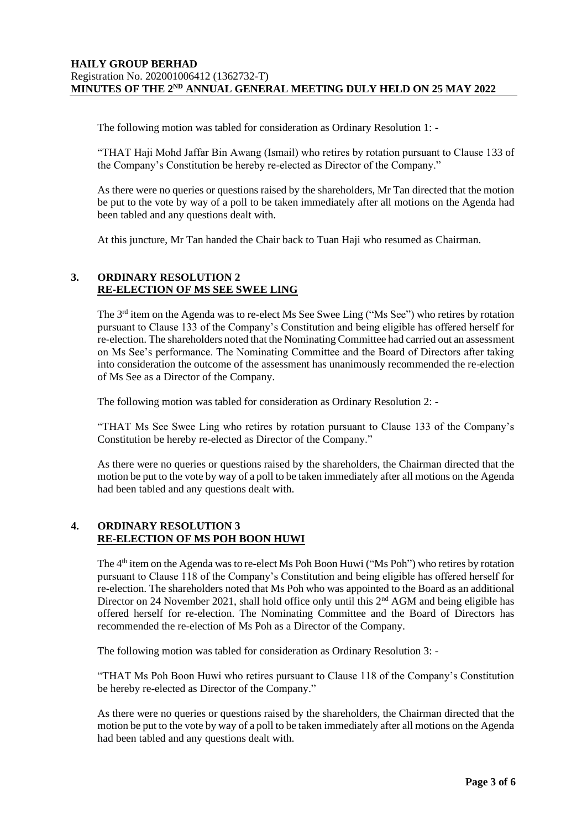The following motion was tabled for consideration as Ordinary Resolution 1: -

"THAT Haji Mohd Jaffar Bin Awang (Ismail) who retires by rotation pursuant to Clause 133 of the Company's Constitution be hereby re-elected as Director of the Company."

As there were no queries or questions raised by the shareholders, Mr Tan directed that the motion be put to the vote by way of a poll to be taken immediately after all motions on the Agenda had been tabled and any questions dealt with.

At this juncture, Mr Tan handed the Chair back to Tuan Haji who resumed as Chairman.

#### **3. ORDINARY RESOLUTION 2 RE-ELECTION OF MS SEE SWEE LING**

The  $3<sup>rd</sup>$  item on the Agenda was to re-elect Ms See Swee Ling ("Ms See") who retires by rotation pursuant to Clause 133 of the Company's Constitution and being eligible has offered herself for re-election. The shareholders noted that the Nominating Committee had carried out an assessment on Ms See's performance. The Nominating Committee and the Board of Directors after taking into consideration the outcome of the assessment has unanimously recommended the re-election of Ms See as a Director of the Company.

The following motion was tabled for consideration as Ordinary Resolution 2: -

"THAT Ms See Swee Ling who retires by rotation pursuant to Clause 133 of the Company's Constitution be hereby re-elected as Director of the Company."

As there were no queries or questions raised by the shareholders, the Chairman directed that the motion be put to the vote by way of a poll to be taken immediately after all motions on the Agenda had been tabled and any questions dealt with.

## **4. ORDINARY RESOLUTION 3 RE-ELECTION OF MS POH BOON HUWI**

The 4<sup>th</sup> item on the Agenda was to re-elect Ms Poh Boon Huwi ("Ms Poh") who retires by rotation pursuant to Clause 118 of the Company's Constitution and being eligible has offered herself for re-election. The shareholders noted that Ms Poh who was appointed to the Board as an additional Director on 24 November 2021, shall hold office only until this  $2<sup>nd</sup>$  AGM and being eligible has offered herself for re-election. The Nominating Committee and the Board of Directors has recommended the re-election of Ms Poh as a Director of the Company.

The following motion was tabled for consideration as Ordinary Resolution 3: -

"THAT Ms Poh Boon Huwi who retires pursuant to Clause 118 of the Company's Constitution be hereby re-elected as Director of the Company."

As there were no queries or questions raised by the shareholders, the Chairman directed that the motion be put to the vote by way of a poll to be taken immediately after all motions on the Agenda had been tabled and any questions dealt with.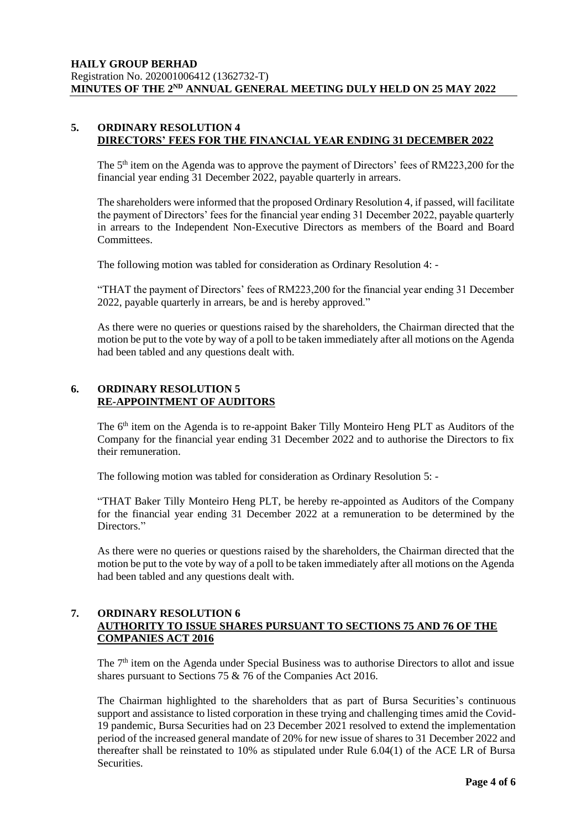#### **5. ORDINARY RESOLUTION 4 DIRECTORS' FEES FOR THE FINANCIAL YEAR ENDING 31 DECEMBER 2022**

The 5<sup>th</sup> item on the Agenda was to approve the payment of Directors' fees of RM223,200 for the financial year ending 31 December 2022, payable quarterly in arrears.

The shareholders were informed that the proposed Ordinary Resolution 4, if passed, will facilitate the payment of Directors' fees for the financial year ending 31 December 2022, payable quarterly in arrears to the Independent Non-Executive Directors as members of the Board and Board Committees.

The following motion was tabled for consideration as Ordinary Resolution 4: -

"THAT the payment of Directors' fees of RM223,200 for the financial year ending 31 December 2022, payable quarterly in arrears, be and is hereby approved."

As there were no queries or questions raised by the shareholders, the Chairman directed that the motion be put to the vote by way of a poll to be taken immediately after all motions on the Agenda had been tabled and any questions dealt with.

# **6. ORDINARY RESOLUTION 5 RE-APPOINTMENT OF AUDITORS**

The 6<sup>th</sup> item on the Agenda is to re-appoint Baker Tilly Monteiro Heng PLT as Auditors of the Company for the financial year ending 31 December 2022 and to authorise the Directors to fix their remuneration.

The following motion was tabled for consideration as Ordinary Resolution 5: -

"THAT Baker Tilly Monteiro Heng PLT, be hereby re-appointed as Auditors of the Company for the financial year ending 31 December 2022 at a remuneration to be determined by the Directors."

As there were no queries or questions raised by the shareholders, the Chairman directed that the motion be put to the vote by way of a poll to be taken immediately after all motions on the Agenda had been tabled and any questions dealt with.

#### **7. ORDINARY RESOLUTION 6 AUTHORITY TO ISSUE SHARES PURSUANT TO SECTIONS 75 AND 76 OF THE COMPANIES ACT 2016**

The 7<sup>th</sup> item on the Agenda under Special Business was to authorise Directors to allot and issue shares pursuant to Sections 75 & 76 of the Companies Act 2016.

The Chairman highlighted to the shareholders that as part of Bursa Securities's continuous support and assistance to listed corporation in these trying and challenging times amid the Covid-19 pandemic, Bursa Securities had on 23 December 2021 resolved to extend the implementation period of the increased general mandate of 20% for new issue of shares to 31 December 2022 and thereafter shall be reinstated to 10% as stipulated under Rule 6.04(1) of the ACE LR of Bursa Securities.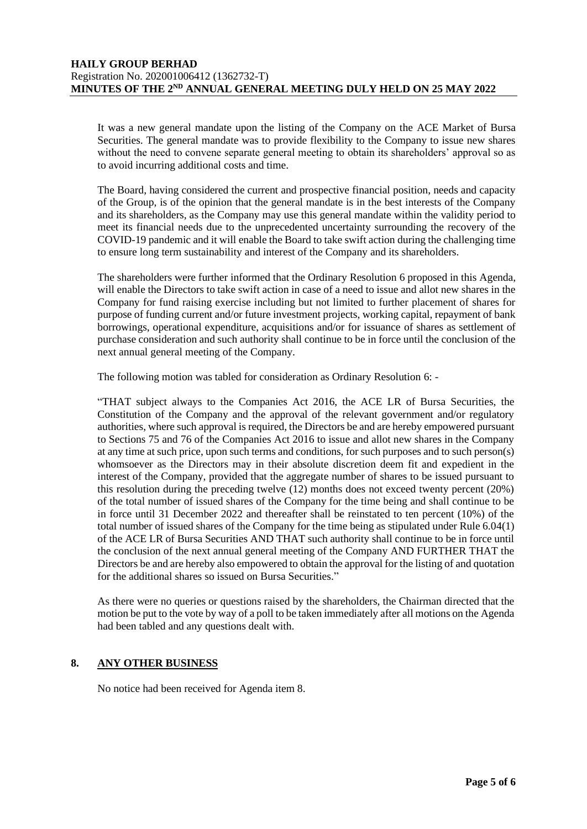### **HAILY GROUP BERHAD** Registration No. 202001006412 (1362732-T) MINUTES OF THE 2<sup>ND</sup> ANNUAL GENERAL MEETING DULY HELD ON 25 MAY 2022

It was a new general mandate upon the listing of the Company on the ACE Market of Bursa Securities. The general mandate was to provide flexibility to the Company to issue new shares without the need to convene separate general meeting to obtain its shareholders' approval so as to avoid incurring additional costs and time.

The Board, having considered the current and prospective financial position, needs and capacity of the Group, is of the opinion that the general mandate is in the best interests of the Company and its shareholders, as the Company may use this general mandate within the validity period to meet its financial needs due to the unprecedented uncertainty surrounding the recovery of the COVID-19 pandemic and it will enable the Board to take swift action during the challenging time to ensure long term sustainability and interest of the Company and its shareholders.

The shareholders were further informed that the Ordinary Resolution 6 proposed in this Agenda, will enable the Directors to take swift action in case of a need to issue and allot new shares in the Company for fund raising exercise including but not limited to further placement of shares for purpose of funding current and/or future investment projects, working capital, repayment of bank borrowings, operational expenditure, acquisitions and/or for issuance of shares as settlement of purchase consideration and such authority shall continue to be in force until the conclusion of the next annual general meeting of the Company.

The following motion was tabled for consideration as Ordinary Resolution 6: -

"THAT subject always to the Companies Act 2016, the ACE LR of Bursa Securities, the Constitution of the Company and the approval of the relevant government and/or regulatory authorities, where such approval is required, the Directors be and are hereby empowered pursuant to Sections 75 and 76 of the Companies Act 2016 to issue and allot new shares in the Company at any time at such price, upon such terms and conditions, for such purposes and to such person(s) whomsoever as the Directors may in their absolute discretion deem fit and expedient in the interest of the Company, provided that the aggregate number of shares to be issued pursuant to this resolution during the preceding twelve (12) months does not exceed twenty percent (20%) of the total number of issued shares of the Company for the time being and shall continue to be in force until 31 December 2022 and thereafter shall be reinstated to ten percent (10%) of the total number of issued shares of the Company for the time being as stipulated under Rule 6.04(1) of the ACE LR of Bursa Securities AND THAT such authority shall continue to be in force until the conclusion of the next annual general meeting of the Company AND FURTHER THAT the Directors be and are hereby also empowered to obtain the approval for the listing of and quotation for the additional shares so issued on Bursa Securities."

As there were no queries or questions raised by the shareholders, the Chairman directed that the motion be put to the vote by way of a poll to be taken immediately after all motions on the Agenda had been tabled and any questions dealt with.

#### **8. ANY OTHER BUSINESS**

No notice had been received for Agenda item 8.